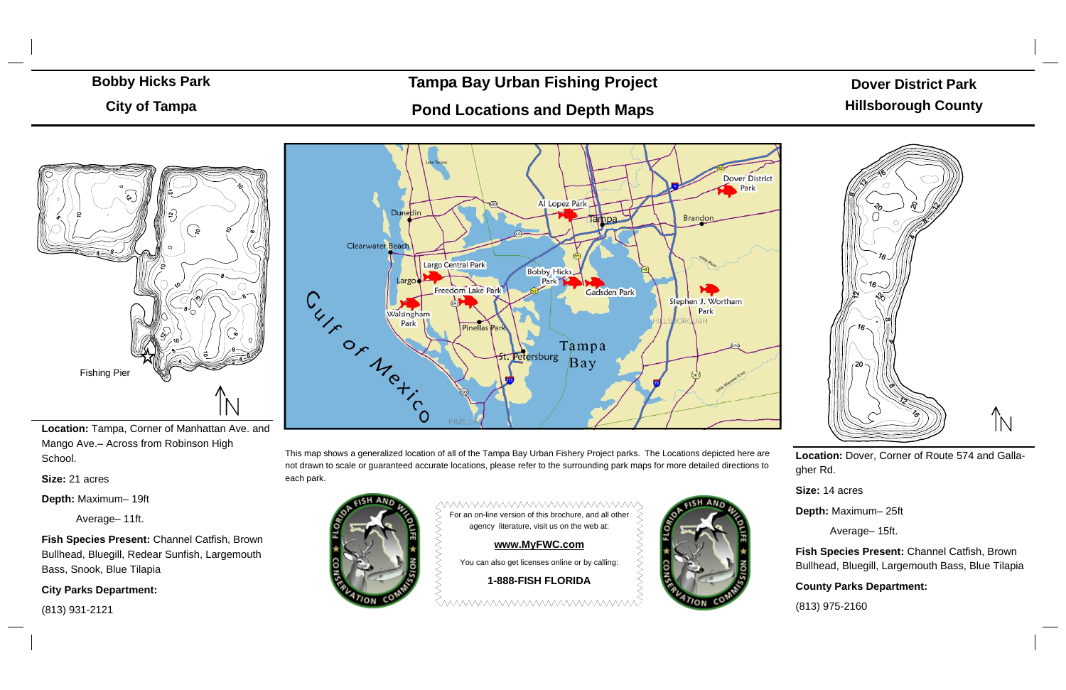# Dover District Park**Dover District Park Hillsborough County**



City of Tampa **City of Tampa**  Contour Map in 1- Foot Intervals



# **Tampa Bay Urban Fishing Project**

# **Pond Locations and Depth Maps**

**Location:** Tampa, Corner of Manhattan Ave. and Mango Ave.– Across from Robinson High School.

**Size:** 21 acres

**Depth:** Maximum– 19ft

Average– 11ft.

**Fish Species Present:** Channel Catfish, Brown Bullhead, Bluegill, Redear Sunfish, Largemouth Bass, Snook, Blue Tilapia

**City Parks Department:** 

# Bobby Hicks Park **Bobby Hicks Park**

(813) 931-2121



**Location:** Dover, Corner of Route 574 and Gallagher Rd.

**MWWWWWWWWWWWWWW** For an on-line version of this brochure, and all other agency literature, visit us on the web at:

**Size:** 14 acres

**Depth:** Maximum– 25ft

Average– 15ft.

**Fish Species Present:** Channel Catfish, Brown Bullhead, Bluegill, Largemouth Bass, Blue Tilapia

## **County Parks Department:**

(813) 975-2160

This map shows a generalized location of all of the Tampa Bay Urban Fishery Project parks. The Locations depicted here are not drawn to scale or guaranteed accurate locations, please refer to the surrounding park maps for more detailed directions to each park.



### **www.MyFWC.com**

You can also get licenses online or by calling:

### **1-888-FISH FLORIDA**

<u>Emmmmmmmmmmmm</u>